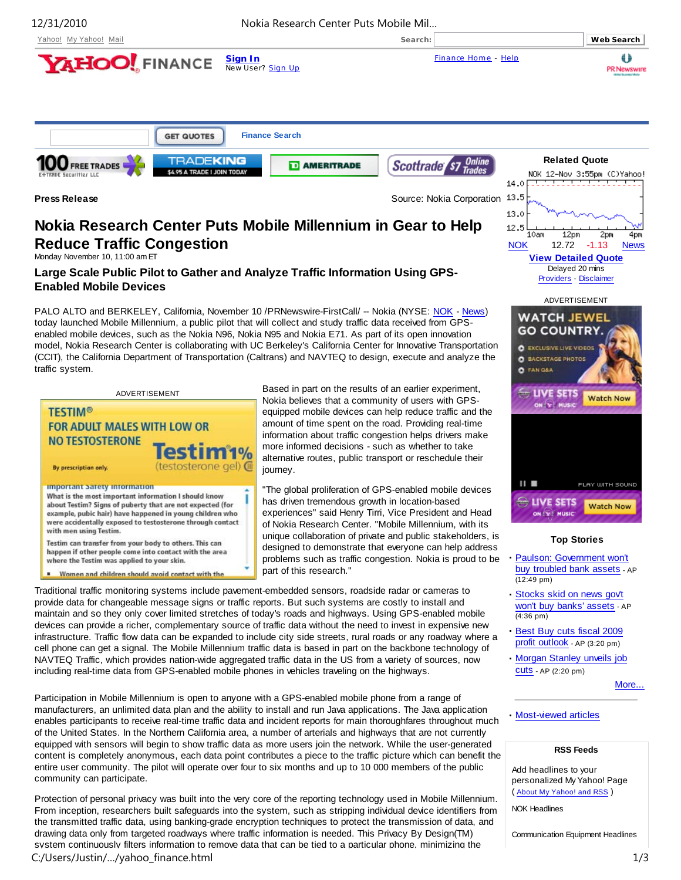

# **Nokia Research Center Puts Mobile Millennium in Gear to Help Reduce Traffic Congestion**

Monday November 10, 11:00 am ET

### **Large Scale Public Pilot to Gather and Analyze Traffic Information Using GPS-Enabled Mobile Devices**

PALO ALTO and BERKELEY, California, November 10 /PRNewswire-FirstCall/ -- Nokia (NYSE: NOK - News) today launched Mobile Millennium, a public pilot that will collect and study traffic data received from GPSenabled mobile devices, such as the Nokia N96, Nokia N95 and Nokia E71. As part of its open innovation model, Nokia Research Center is collaborating with UC Berkeley's California Center for Innovative Transportation (CCIT), the California Department of Transportation (Caltrans) and NAVTEQ to design, execute and analyze the traffic system.

| ADVERTISEMENT                                                                                                     | D              |
|-------------------------------------------------------------------------------------------------------------------|----------------|
| <b>TESTIM®</b>                                                                                                    | ľ<br>e         |
| <b>FOR ADULT MALES WITH LOW OR</b>                                                                                | á              |
| <b>NO TESTOSTERONE</b>                                                                                            | i<br>r         |
| Testim1%                                                                                                          | ć              |
| (testosterone gel) @<br>By prescription only.                                                                     | j              |
| <b>Important Safety Information</b>                                                                               | $\blacksquare$ |
| What is the most important information I should know<br>about Testim? Signs of puberty that are not expected (for | ŀ              |
| example, pubic hair) have happened in young children who                                                          | e              |
| were accidentally exposed to testosterone through contact<br>with men using Testim.                               | C              |
| Testim can transfer from your body to others. This can                                                            |                |
| happen if other people come into contact with the area<br>where the Testim was applied to your skin.              | C<br>ŗ         |
| Women and children should avoid contact with the                                                                  | ŗ              |

Based in part on the results of an earlier experiment, Nokia believes that a community of users with GPSequipped mobile devices can help reduce traffic and the amount of time spent on the road. Providing real-time nformation about traffic congestion helps drivers make more informed decisions - such as whether to take alternative routes, public transport or reschedule their ourney.

"The global proliferation of GPS-enabled mobile devices has driven tremendous growth in location-based experiences" said Henry Tirri, Vice President and Head of Nokia Research Center. "Mobile Millennium, with its unique collaboration of private and public stakeholders, is designed to demonstrate that everyone can help address problems such as traffic congestion. Nokia is proud to be part of this research."

Traditional traffic monitoring systems include pavement-embedded sensors, roadside radar or cameras to provide data for changeable message signs or traffic reports. But such systems are costly to install and maintain and so they only cover limited stretches of today's roads and highways. Using GPS-enabled mobile devices can provide a richer, complementary source of traffic data without the need to invest in expensive new infrastructure. Traffic flow data can be expanded to include city side streets, rural roads or any roadway where a cell phone can get a signal. The Mobile Millennium traffic data is based in part on the backbone technology of NAVTEQ Traffic, which provides nation-wide aggregated traffic data in the US from a variety of sources, now including real-time data from GPS-enabled mobile phones in vehicles traveling on the highways.

Participation in Mobile Millennium is open to anyone with a GPS-enabled mobile phone from a range of manufacturers, an unlimited data plan and the ability to install and run Java applications. The Java application enables participants to receive real-time traffic data and incident reports for main thoroughfares throughout much of the United States. In the Northern California area, a number of arterials and highways that are not currently equipped with sensors will begin to show traffic data as more users join the network. While the user-generated content is completely anonymous, each data point contributes a piece to the traffic picture which can benefit the entire user community. The pilot will operate over four to six months and up to 10 000 members of the public community can participate.

Protection of personal privacy was built into the very core of the reporting technology used in Mobile Millennium. From inception, researchers built safeguards into the system, such as stripping individual device identifiers from the transmitted traffic data, using banking-grade encryption techniques to protect the transmission of data, and drawing data only from targeted roadways where traffic information is needed. This Privacy By Design(TM) system continuously filters information to remove data that can be tied to a particular phone, minimizing the C:/Users/Justin/…/yahoo\_finance.html 1/3

#### **Top Stories**

NOK 12.72 -1.13 News **View Detailed Quote** Delayed 20 mins Providers - Disclaimer ADVERTISEMENT

2pm

**Watch Now** 

PLAY WITH SOUND

**Watch Now** 

4pm

12pm

**WATCH JEWEL GO COUNTRY O** EXCLUSIVE LIVE VIDEOS **C**BACKSTAGE PHOTOS C FAN GEA

SETS

Ш

ON Y MUSIC

**LIVE SETS** 

13.0 12.5  $10am$ 

- **·** Paulson: Government won't buy troubled bank assets - AP (12:49 pm)
- **·** Stocks skid on news gov't won't buy banks' assets - AP (4:36 pm)
- **·** Best Buy cuts fiscal 2009 profit outlook - AP (3:20 pm)
- **·** Morgan Stanley unveils job cuts - AP (2:20 pm)

More...

#### **·** Most-viewed articles

#### **RSS Feeds**

Add headlines to your personalized My Yahoo! Page ( About My Yahoo! and RSS )

NOK Headlines

Communication Equipment Headlines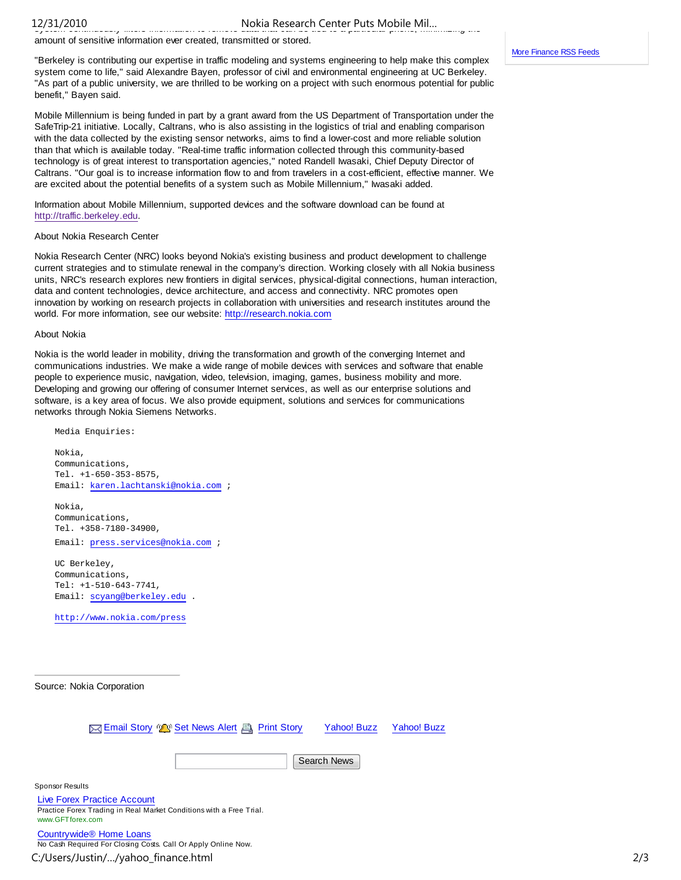## system continuously filters information to remove data that can be tied to a particular phone, minimizing the 12/31/2010 Nokia Research Center Puts Mobile Mil…

amount of sensitive information ever created, transmitted or stored.

"Berkeley is contributing our expertise in traffic modeling and systems engineering to help make this complex system come to life," said Alexandre Bayen, professor of civil and environmental engineering at UC Berkeley. "As part of a public university, we are thrilled to be working on a project with such enormous potential for public benefit," Bayen said.

Mobile Millennium is being funded in part by a grant award from the US Department of Transportation under the SafeTrip-21 initiative. Locally, Caltrans, who is also assisting in the logistics of trial and enabling comparison with the data collected by the existing sensor networks, aims to find a lower-cost and more reliable solution than that which is available today. "Real-time traffic information collected through this community-based technology is of great interest to transportation agencies," noted Randell Iwasaki, Chief Deputy Director of Caltrans. "Our goal is to increase information flow to and from travelers in a cost-efficient, effective manner. We are excited about the potential benefits of a system such as Mobile Millennium," Iwasaki added.

Information about Mobile Millennium, supported devices and the software download can be found at http://traffic.berkeley.edu.

#### About Nokia Research Center

Nokia Research Center (NRC) looks beyond Nokia's existing business and product development to challenge current strategies and to stimulate renewal in the company's direction. Working closely with all Nokia business units, NRC's research explores new frontiers in digital services, physical-digital connections, human interaction, data and content technologies, device architecture, and access and connectivity. NRC promotes open innovation by working on research projects in collaboration with universities and research institutes around the world. For more information, see our website: http://research.nokia.com

#### About Nokia

Nokia is the world leader in mobility, driving the transformation and growth of the converging Internet and communications industries. We make a wide range of mobile devices with services and software that enable people to experience music, navigation, video, television, imaging, games, business mobility and more. Developing and growing our offering of consumer Internet services, as well as our enterprise solutions and software, is a key area of focus. We also provide equipment, solutions and services for communications networks through Nokia Siemens Networks.

 Media Enquiries: Nokia, Communications, Tel. +1-650-353-8575, Email: karen.lachtanski@nokia.com ; Nokia,

 Communications, Tel. +358-7180-34900, Email: press.services@nokia.com ;

 UC Berkeley, Communications, Tel: +1-510-643-7741, Email: scyang@berkeley.edu .

http://www.nokia.com/press

Source: Nokia Corporation

Email Story (A) Set News Alert Print Story

Yahoo! Buzz Yahoo! Buzz

Search News

Sponsor Results

Live Forex Practice Account Practice Forex Trading in Real Market Conditions with a Free Trial. www.GFTforex.com

Countrywide® Home Loans No Cash Required For Closing Costs. Call Or Apply Online Now.

C:/Users/Justin/…/yahoo\_finance.html 2/3